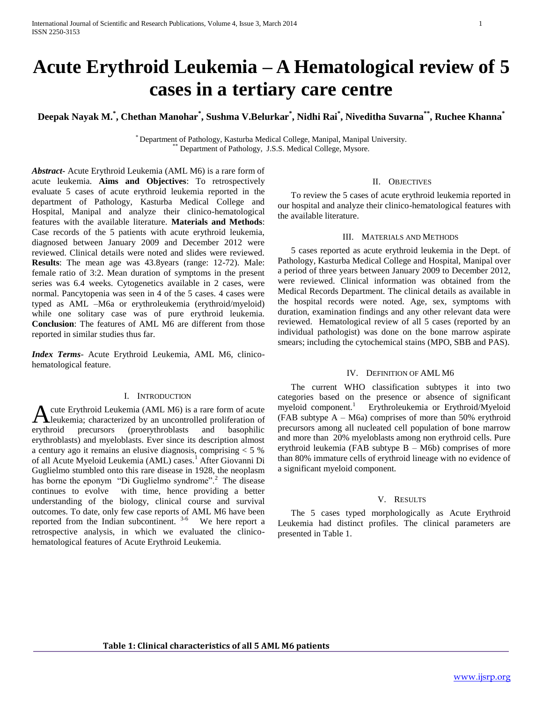# **Acute Erythroid Leukemia – A Hematological review of 5 cases in a tertiary care centre**

**Deepak Nayak M.\* , Chethan Manohar\* , Sushma V.Belurkar\* , Nidhi Rai\* , Niveditha Suvarna\*\* , Ruchee Khanna\***

\* Department of Pathology, Kasturba Medical College, Manipal, Manipal University. Department of Pathology, J.S.S. Medical College, Mysore.

*Abstract***-** Acute Erythroid Leukemia (AML M6) is a rare form of acute leukemia. **Aims and Objectives**: To retrospectively evaluate 5 cases of acute erythroid leukemia reported in the department of Pathology, Kasturba Medical College and Hospital, Manipal and analyze their clinico-hematological features with the available literature. **Materials and Methods**: Case records of the 5 patients with acute erythroid leukemia, diagnosed between January 2009 and December 2012 were reviewed. Clinical details were noted and slides were reviewed. **Results**: The mean age was 43.8years (range: 12-72). Male: female ratio of 3:2. Mean duration of symptoms in the present series was 6.4 weeks. Cytogenetics available in 2 cases, were normal. Pancytopenia was seen in 4 of the 5 cases. 4 cases were typed as AML –M6a or erythroleukemia (erythroid/myeloid) while one solitary case was of pure erythroid leukemia. **Conclusion**: The features of AML M6 are different from those reported in similar studies thus far.

*Index Terms*- Acute Erythroid Leukemia, AML M6, clinicohematological feature.

## I. INTRODUCTION

cute Erythroid Leukemia (AML M6) is a rare form of acute A cute Erythroid Leukemia (AML M6) is a rare form of acute<br>
eukemia; characterized by an uncontrolled proliferation of erythroid precursors (proerythroblasts and basophilic erythroblasts) and myeloblasts. Ever since its description almost a century ago it remains an elusive diagnosis, comprising < 5 % of all Acute Myeloid Leukemia (AML) cases.<sup>1</sup> After Giovanni Di Guglielmo stumbled onto this rare disease in 1928, the neoplasm has borne the eponym "Di Guglielmo syndrome".<sup>2</sup> The disease continues to evolve with time, hence providing a better understanding of the biology, clinical course and survival outcomes. To date, only few case reports of AML M6 have been reported from the Indian subcontinent.  $3-6$  We here report a retrospective analysis, in which we evaluated the clinicohematological features of Acute Erythroid Leukemia.

## II. OBJECTIVES

 To review the 5 cases of acute erythroid leukemia reported in our hospital and analyze their clinico-hematological features with the available literature.

## III. MATERIALS AND METHODS

 5 cases reported as acute erythroid leukemia in the Dept. of Pathology, Kasturba Medical College and Hospital, Manipal over a period of three years between January 2009 to December 2012, were reviewed. Clinical information was obtained from the Medical Records Department. The clinical details as available in the hospital records were noted. Age, sex, symptoms with duration, examination findings and any other relevant data were reviewed. Hematological review of all 5 cases (reported by an individual pathologist) was done on the bone marrow aspirate smears; including the cytochemical stains (MPO, SBB and PAS).

## IV. DEFINITION OF AML M6

 The current WHO classification subtypes it into two categories based on the presence or absence of significant myeloid component.<sup>1</sup> Erythroleukemia or Erythroid/Myeloid (FAB subtype  $A - M6a$ ) comprises of more than 50% erythroid precursors among all nucleated cell population of bone marrow and more than 20% myeloblasts among non erythroid cells. Pure erythroid leukemia (FAB subtype B – M6b) comprises of more than 80% immature cells of erythroid lineage with no evidence of a significant myeloid component.

## V. RESULTS

 The 5 cases typed morphologically as Acute Erythroid Leukemia had distinct profiles. The clinical parameters are presented in Table 1.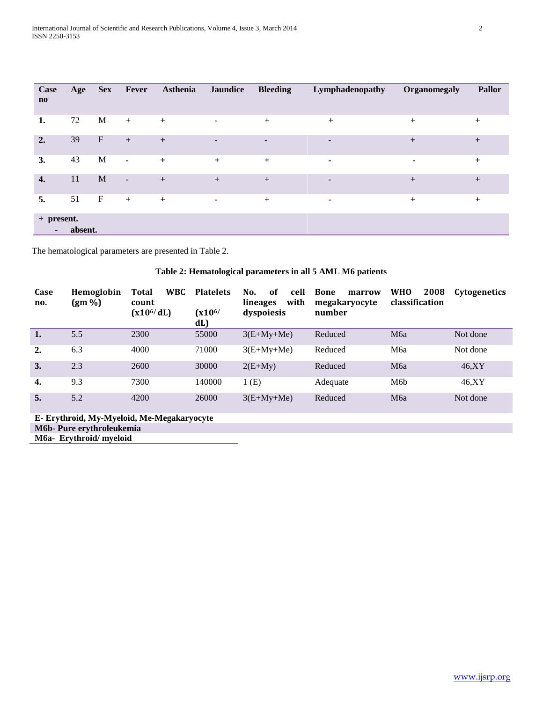| Case<br>$\mathbf{n}\mathbf{o}$         | Age     | <b>Sex</b>                | Fever          | Asthenia  | <b>Jaundice</b> | <b>Bleeding</b> | Lymphadenopathy          | Organomegaly   | <b>Pallor</b> |
|----------------------------------------|---------|---------------------------|----------------|-----------|-----------------|-----------------|--------------------------|----------------|---------------|
| 1.                                     | 72      | M                         | $+$            | $\ddot{}$ | $\blacksquare$  | $+$             | $+$                      | $\ddot{}$      | $+$           |
| 2.                                     | 39      | $\boldsymbol{\mathrm{F}}$ | $+$            | $\ddot{}$ | $\blacksquare$  | $\blacksquare$  | ٠                        | $+$            | $+$           |
| 3.                                     | 43      | $\mathbf M$               | $\blacksquare$ | $+$       | $+$             | $+$             | ٠                        | $\blacksquare$ | $\pm$         |
| $\overline{4}$ .                       | 11      | M                         | $\sim$         | $\ddot{}$ | $+$             | $+$             | $\overline{\phantom{a}}$ | $+$            | $+$           |
| 5.                                     | 51      | $\mathbf F$               | $+$            | $+$       | $\blacksquare$  | $+$             | $\blacksquare$           | $\ddot{}$      | $^{+}$        |
| + present.<br>$\overline{\phantom{a}}$ | absent. |                           |                |           |                 |                 |                          |                |               |

The hematological parameters are presented in Table 2.

# **Table 2: Hematological parameters in all 5 AML M6 patients**

| Case<br>no.    | <b>Hemoglobin</b><br>$(gm\% )$ | <b>WBC</b><br>Total<br>count<br>$(x10^{6}/dL)$ | <b>Platelets</b><br>$(x10^{6/}$<br>dL) | No.<br>of<br>cell<br>with<br>lineages<br>dyspoiesis | <b>Bone</b><br>marrow<br>megakaryocyte<br>number | 2008<br><b>WHO</b><br>classification | <b>Cytogenetics</b> |
|----------------|--------------------------------|------------------------------------------------|----------------------------------------|-----------------------------------------------------|--------------------------------------------------|--------------------------------------|---------------------|
| $\mathbf{1}$ . | 5.5                            | 2300                                           | 55000                                  | $3(E+My+Me)$                                        | Reduced                                          | M <sub>6</sub> a                     | Not done            |
| 2.             | 6.3                            | 4000                                           | 71000                                  | $3(E+My+Me)$                                        | Reduced                                          | M6a                                  | Not done            |
| 3.             | 2.3                            | 2600                                           | 30000                                  | $2(E+My)$                                           | Reduced                                          | M <sub>6a</sub>                      | 46, XY              |
| 4.             | 9.3                            | 7300                                           | 140000                                 | 1(E)                                                | Adequate                                         | M <sub>6</sub> b                     | 46,XY               |
| 5.             | 5.2                            | 4200                                           | 26000                                  | $3(E+My+Me)$                                        | Reduced                                          | M <sub>6</sub> a                     | Not done            |

**E- Erythroid, My-Myeloid, Me-Megakaryocyte M6b- Pure erythroleukemia**

**M6a- Erythroid/ myeloid**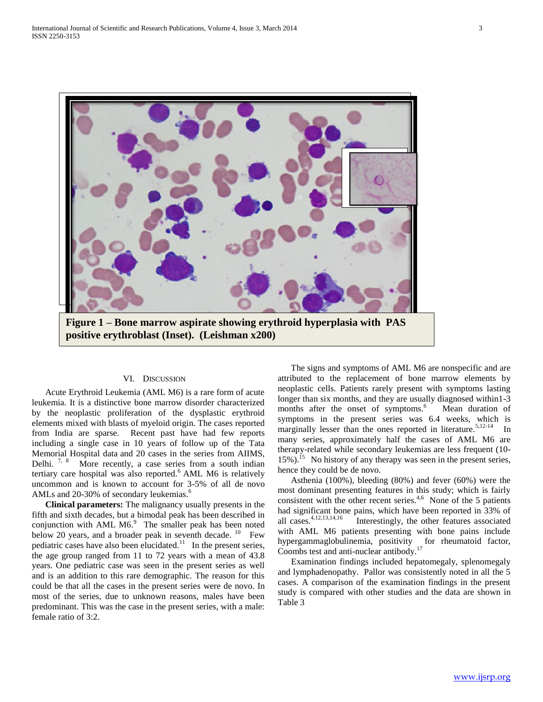

## VI. DISCUSSION

 Acute Erythroid Leukemia (AML M6) is a rare form of acute leukemia. It is a distinctive bone marrow disorder characterized by the neoplastic proliferation of the dysplastic erythroid elements mixed with blasts of myeloid origin. The cases reported from India are sparse. Recent past have had few reports including a single case in 10 years of follow up of the Tata Memorial Hospital data and 20 cases in the series from AIIMS, Delhi. <sup>7, 8</sup> More recently, a case series from a south indian tertiary care hospital was also reported.<sup>6</sup> AML M6 is relatively uncommon and is known to account for 3-5% of all de novo AMLs and 20-30% of secondary leukemias.<sup>6</sup>

 **Clinical parameters:** The malignancy usually presents in the fifth and sixth decades, but a bimodal peak has been described in conjunction with AML  $M6$ .<sup>9</sup> The smaller peak has been noted below 20 years, and a broader peak in seventh decade.  $10$  Few pediatric cases have also been elucidated.<sup>11</sup> In the present series, the age group ranged from 11 to 72 years with a mean of 43.8 years. One pediatric case was seen in the present series as well and is an addition to this rare demographic. The reason for this could be that all the cases in the present series were de novo. In most of the series, due to unknown reasons, males have been predominant. This was the case in the present series, with a male: female ratio of 3:2.

 The signs and symptoms of AML M6 are nonspecific and are attributed to the replacement of bone marrow elements by neoplastic cells. Patients rarely present with symptoms lasting longer than six months, and they are usually diagnosed within1-3 months after the onset of symptoms.<sup>6</sup> Mean duration of symptoms in the present series was 6.4 weeks, which is marginally lesser than the ones reported in literature.<sup>5,12-14</sup> In many series, approximately half the cases of AML M6 are therapy-related while secondary leukemias are less frequent (10- 15%).<sup>15</sup> No history of any therapy was seen in the present series, hence they could be de novo.

 Asthenia (100%), bleeding (80%) and fever (60%) were the most dominant presenting features in this study; which is fairly consistent with the other recent series.<sup>4,6</sup> None of the 5 patients had significant bone pains, which have been reported in 33% of all cases.4,12,13,14,16 Interestingly, the other features associated with AML M6 patients presenting with bone pains include hypergammaglobulinemia, positivity for rheumatoid factor, Coombs test and anti-nuclear antibody.<sup>17</sup>

 Examination findings included hepatomegaly, splenomegaly and lymphadenopathy. Pallor was consistently noted in all the 5 cases. A comparison of the examination findings in the present study is compared with other studies and the data are shown in Table 3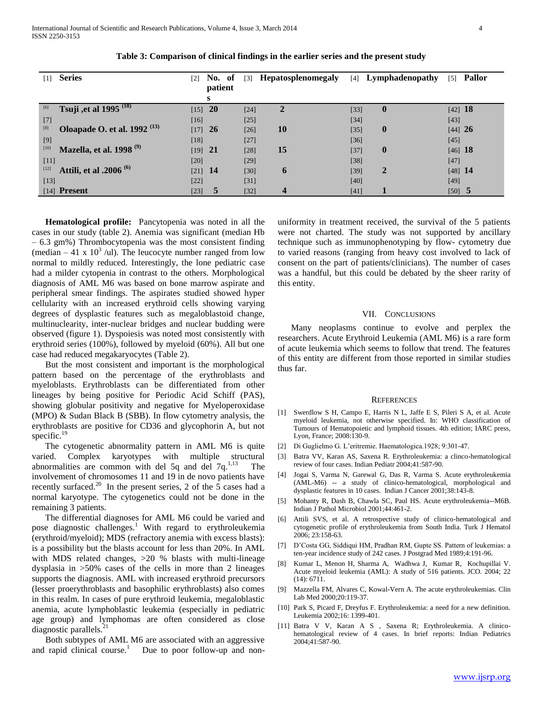| $\lceil 1 \rceil$ | <b>Series</b>                           | $\lceil 2 \rceil$ | No. of    | $\lceil 3 \rceil$ | <b>Hepatosplenomegaly</b> | [4]    | Lymphadenopathy | $\lceil 5 \rceil$ | <b>Pallor</b> |
|-------------------|-----------------------------------------|-------------------|-----------|-------------------|---------------------------|--------|-----------------|-------------------|---------------|
|                   |                                         |                   | patient   |                   |                           |        |                 |                   |               |
|                   |                                         |                   | s         |                   |                           |        |                 |                   |               |
| [6]               | Tsuji , et al 1995 $\overline{^{(18)}}$ | $[15]$ 20         |           | $[24]$            | $\mathbf{2}$              | $[33]$ | $\mathbf{0}$    | $[42]$ 18         |               |
| $[7]$             |                                         | [16]              |           | $[25]$            |                           | $[34]$ |                 | $[43]$            |               |
| [8]               | Oloapade O. et al. 1992 <sup>(13)</sup> | $[17]$            | <b>26</b> | $[26]$            | 10                        | $[35]$ | $\mathbf{0}$    | [44] 26           |               |
| [9]               |                                         | [18]              |           | $[27]$            |                           | $[36]$ |                 | $[45]$            |               |
| $[10]$            | Mazella, et al. 1998 <sup>(9)</sup>     | [19]              | - 21      | $[28]$            | 15                        | $[37]$ | $\mathbf{0}$    | $[46]$ 18         |               |
| $[11]$            |                                         | [20]              |           | $[29]$            |                           | $[38]$ |                 | $[47]$            |               |
| $[12]$            | Attili, et al .2006 <sup>(6)</sup>      | $[21]$ 14         |           | [30]              | 6                         | $[39]$ | $\overline{2}$  | $[48]$ 14         |               |
| [13]              |                                         | $[22]$            |           | $[31]$            |                           | $[40]$ |                 | [49]              |               |
|                   | $[14]$ Present                          | $[23]$            | 5         | $[32]$            | 4                         | [41]   |                 | $[50]$ 5          |               |

|  | Table 3: Comparison of clinical findings in the earlier series and the present study |
|--|--------------------------------------------------------------------------------------|
|  |                                                                                      |

 **Hematological profile:** Pancytopenia was noted in all the cases in our study (table 2). Anemia was significant (median Hb – 6.3 gm%) Thrombocytopenia was the most consistent finding (median  $-41 \times 10^3$  /ul). The leucocyte number ranged from low normal to mildly reduced. Interestingly, the lone pediatric case had a milder cytopenia in contrast to the others. Morphological diagnosis of AML M6 was based on bone marrow aspirate and peripheral smear findings. The aspirates studied showed hyper cellularity with an increased erythroid cells showing varying degrees of dysplastic features such as megaloblastoid change, multinuclearity, inter-nuclear bridges and nuclear budding were observed (figure 1). Dyspoiesis was noted most consistently with erythroid series (100%), followed by myeloid (60%). All but one case had reduced megakaryocytes (Table 2).

 But the most consistent and important is the morphological pattern based on the percentage of the erythroblasts and myeloblasts. Erythroblasts can be differentiated from other lineages by being positive for Periodic Acid Schiff (PAS), showing globular positivity and negative for Myeloperoxidase (MPO) & Sudan Black B (SBB). In flow cytometry analysis, the erythroblasts are positive for CD36 and glycophorin A, but not specific. $19$ 

 The cytogenetic abnormality pattern in AML M6 is quite varied. Complex karyotypes with multiple structural abnormalities are common with del 5q and del 7 $q^{1,13}$  The involvement of chromosomes 11 and 19 in de novo patients have recently surfaced.<sup>20</sup> In the present series, 2 of the  $\frac{1}{5}$  cases had a normal karyotype. The cytogenetics could not be done in the remaining 3 patients.

 The differential diagnoses for AML M6 could be varied and pose diagnostic challenges.<sup>1</sup> With regard to erythroleukemia (erythroid/myeloid); MDS (refractory anemia with excess blasts): is a possibility but the blasts account for less than 20%. In AML with MDS related changes,  $>20$  % blasts with multi-lineage dysplasia in >50% cases of the cells in more than 2 lineages supports the diagnosis. AML with increased erythroid precursors (lesser proerythroblasts and basophilic erythroblasts) also comes in this realm. In cases of pure erythroid leukemia, megaloblastic anemia, acute lymphoblastic leukemia (especially in pediatric age group) and lymphomas are often considered as close diagnostic parallels. $^{21}$ 

 Both subtypes of AML M6 are associated with an aggressive and rapid clinical course.<sup>1</sup> Due to poor follow-up and nonuniformity in treatment received, the survival of the 5 patients were not charted. The study was not supported by ancillary technique such as immunophenotyping by flow- cytometry due to varied reasons (ranging from heavy cost involved to lack of consent on the part of patients/clinicians). The number of cases was a handful, but this could be debated by the sheer rarity of this entity.

## VII. CONCLUSIONS

 Many neoplasms continue to evolve and perplex the researchers. Acute Erythroid Leukemia (AML M6) is a rare form of acute leukemia which seems to follow that trend. The features of this entity are different from those reported in similar studies thus far.

#### **REFERENCES**

- [1] Swerdlow S H, Campo E, Harris N L, Jaffe E S, Pileri S A, et al. Acute myeloid leukemia, not otherwise specified. In: WHO classification of Tumours of Hematopoietic and lymphoid tissues. 4th edition; IARC press, Lyon, France; 2008:130-9.
- [2] Di Guglielmo G. L'eritremie. Haematologica.1928; 9:301-47.
- [3] Batra VV, Karan AS, Saxena R. Erythroleukemia: a clinco-hematological review of four cases. Indian Pediatr 2004;41:587-90.
- [4] Jogai S, Varma N, Garewal G, Das R, Varma S. Acute erythroleukemia (AML-M6) -- a study of clinico-hematological, morphological and dysplastic features in 10 cases. Indian J Cancer 2001;38:143-8.
- [5] Mohanty R, Dash B, Chawla SC, Paul HS. Acute erythroleukemia--M6B. Indian J Pathol Microbiol 2001;44:461-2.
- [6] Attili SVS, et al. A retrospective study of clinico-hematological and cytogenetic profile of erythroleukemia from South India. Turk J Hematol 2006; 23:158-63.
- [7] D'Costa GG, Siddiqui HM, Pradhan RM, Gupte SS. Pattern of leukemias: a ten-year incidence study of 242 cases. J Postgrad Med 1989;4:191-96.
- [8] Kumar L, Menon H, Sharma A, Wadhwa J, Kumar R, Kochupillai V. Acute myeloid leukemia (AML): A study of 516 patients. JCO. 2004; 22 (14): 6711.
- [9] Mazzella FM, Alvares C, Kowal-Vern A. The acute erythroleukemias. Clin Lab Med 2000;20:119-37.
- [10] Park S, Picard F, Dreyfus F. Erythroleukemia: a need for a new definition. Leukemia 2002;16: 1399-401.
- [11] Batra V V, Karan A S , Saxena R; Erythroleukemia. A clinicohematological review of 4 cases. In brief reports: Indian Pediatrics 2004;41:587-90.